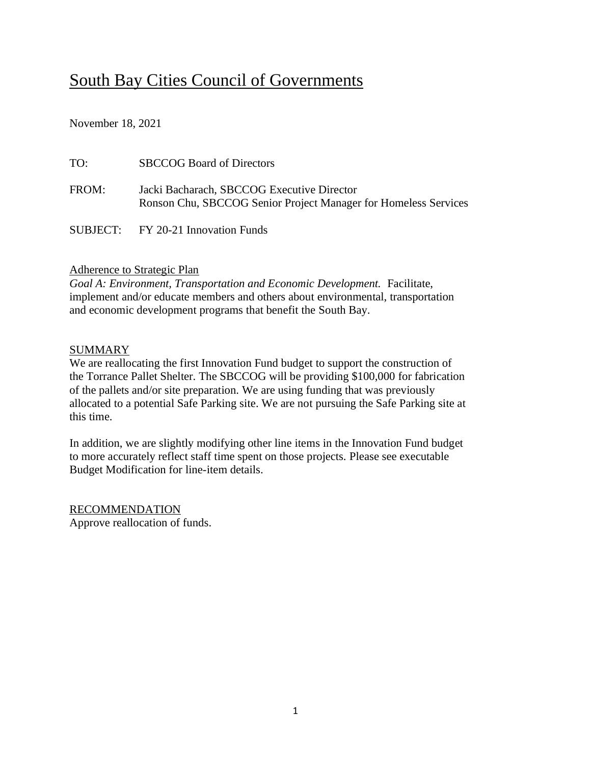# South Bay Cities Council of Governments

November 18, 2021

| TO:   | <b>SBCCOG Board of Directors</b>                                                                              |
|-------|---------------------------------------------------------------------------------------------------------------|
| FROM: | Jacki Bacharach, SBCCOG Executive Director<br>Ronson Chu, SBCCOG Senior Project Manager for Homeless Services |
|       | SUBJECT: FY 20-21 Innovation Funds                                                                            |

#### Adherence to Strategic Plan

*Goal A: Environment, Transportation and Economic Development.* Facilitate, implement and/or educate members and others about environmental, transportation and economic development programs that benefit the South Bay.

#### SUMMARY

We are reallocating the first Innovation Fund budget to support the construction of the Torrance Pallet Shelter. The SBCCOG will be providing \$100,000 for fabrication of the pallets and/or site preparation. We are using funding that was previously allocated to a potential Safe Parking site. We are not pursuing the Safe Parking site at this time.

In addition, we are slightly modifying other line items in the Innovation Fund budget to more accurately reflect staff time spent on those projects. Please see executable Budget Modification for line-item details.

RECOMMENDATION Approve reallocation of funds.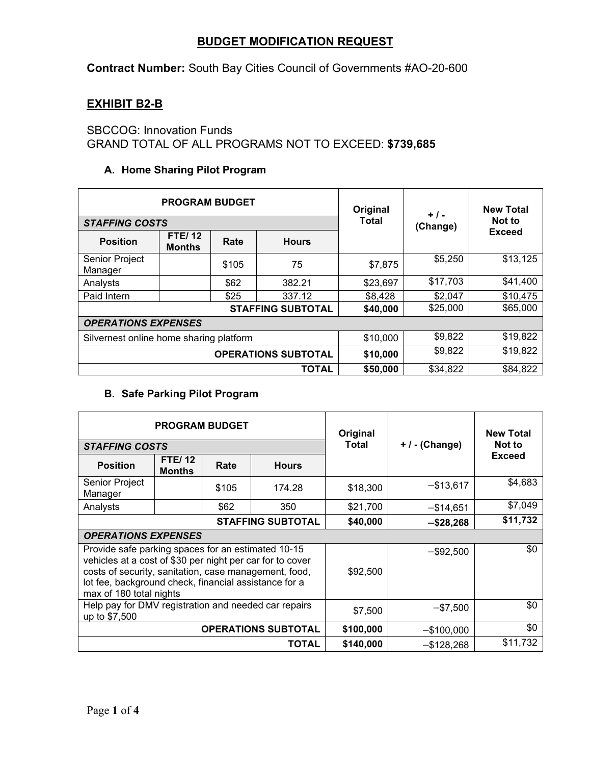#### **BUDGET MODIFICATION REQUEST**

**Contract Number:** South Bay Cities Council of Governments #AO-20-600

# **EXHIBIT B2-B**

SBCCOG: Innovation Funds GRAND TOTAL OF ALL PROGRAMS NOT TO EXCEED: **\$739,685**

#### **A. Home Sharing Pilot Program**

|                                         | <b>PROGRAM BUDGET</b>          |       | Original                 | $+$ / -      | <b>New Total</b> |               |  |
|-----------------------------------------|--------------------------------|-------|--------------------------|--------------|------------------|---------------|--|
| <b>STAFFING COSTS</b>                   |                                |       |                          | <b>Total</b> | (Change)         | Not to        |  |
| <b>Position</b>                         | <b>FTE/12</b><br><b>Months</b> | Rate  | <b>Hours</b>             |              |                  | <b>Exceed</b> |  |
| Senior Project<br>Manager               |                                | \$105 | 75                       | \$7,875      | \$5,250          | \$13,125      |  |
| Analysts                                |                                | \$62  | 382.21                   | \$23,697     | \$17,703         | \$41,400      |  |
| Paid Intern                             |                                | \$25  | 337.12                   | \$8,428      | \$2,047          | \$10,475      |  |
|                                         |                                |       | <b>STAFFING SUBTOTAL</b> | \$40,000     | \$25,000         | \$65,000      |  |
| <b>OPERATIONS EXPENSES</b>              |                                |       |                          |              |                  |               |  |
| Silvernest online home sharing platform |                                |       |                          | \$10,000     | \$9,822          | \$19,822      |  |
| <b>OPERATIONS SUBTOTAL</b>              |                                |       |                          | \$10,000     | \$9,822          | \$19,822      |  |
|                                         |                                |       | <b>TOTAL</b>             | \$50,000     | \$34,822         | \$84,822      |  |

#### **B. Safe Parking Pilot Program**

| <b>PROGRAM BUDGET</b>                                                                                                                                                                                                                                        |                                |       |                          | Original  |                  | <b>New Total</b> |
|--------------------------------------------------------------------------------------------------------------------------------------------------------------------------------------------------------------------------------------------------------------|--------------------------------|-------|--------------------------|-----------|------------------|------------------|
| <b>STAFFING COSTS</b>                                                                                                                                                                                                                                        |                                |       |                          | Total     | $+$ / - (Change) | Not to           |
| <b>Position</b>                                                                                                                                                                                                                                              | <b>FTE/12</b><br><b>Months</b> | Rate  | <b>Hours</b>             |           |                  | <b>Exceed</b>    |
| Senior Project<br>Manager                                                                                                                                                                                                                                    |                                | \$105 | 174.28                   | \$18,300  | $-$ \$13,617     | \$4,683          |
| Analysts                                                                                                                                                                                                                                                     |                                | \$62  | 350                      | \$21,700  | $-$ \$14,651     | \$7,049          |
|                                                                                                                                                                                                                                                              |                                |       | <b>STAFFING SUBTOTAL</b> | \$40,000  | $-$ \$28,268     | \$11,732         |
| <b>OPERATIONS EXPENSES</b>                                                                                                                                                                                                                                   |                                |       |                          |           |                  |                  |
| Provide safe parking spaces for an estimated 10-15<br>vehicles at a cost of \$30 per night per car for to cover<br>costs of security, sanitation, case management, food,<br>lot fee, background check, financial assistance for a<br>max of 180 total nights |                                |       |                          | \$92,500  | $-$ \$92,500     | \$0              |
| Help pay for DMV registration and needed car repairs<br>up to \$7,500                                                                                                                                                                                        |                                |       |                          | \$7,500   | $-$ \$7,500      | \$0              |
| <b>OPERATIONS SUBTOTAL</b>                                                                                                                                                                                                                                   |                                |       |                          | \$100,000 | $-$ \$100,000    | \$0              |
|                                                                                                                                                                                                                                                              |                                |       | <b>TOTAL</b>             | \$140,000 | $-$ \$128,268    | \$11,732         |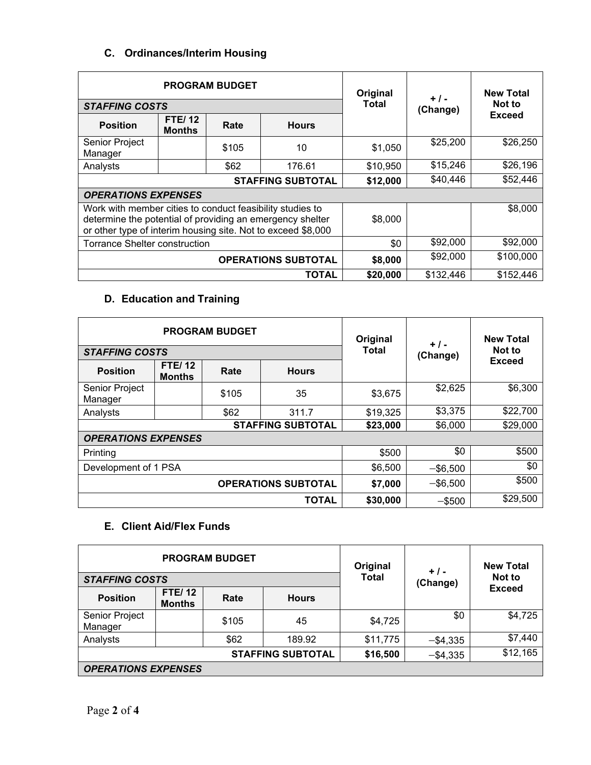#### **C. Ordinances/Interim Housing**

| <b>PROGRAM BUDGET</b>                                                                                                                                                                  |                                |       |                          | Original | $+1-$     | <b>New Total</b> |
|----------------------------------------------------------------------------------------------------------------------------------------------------------------------------------------|--------------------------------|-------|--------------------------|----------|-----------|------------------|
| <b>STAFFING COSTS</b>                                                                                                                                                                  |                                |       |                          | Total    | (Change)  | Not to           |
| <b>Position</b>                                                                                                                                                                        | <b>FTE/12</b><br><b>Months</b> | Rate  | <b>Hours</b>             |          |           | <b>Exceed</b>    |
| Senior Project<br>Manager                                                                                                                                                              |                                | \$105 | 10                       | \$1,050  | \$25,200  | \$26,250         |
| Analysts                                                                                                                                                                               |                                | \$62  | 176.61                   | \$10,950 | \$15,246  | \$26,196         |
|                                                                                                                                                                                        |                                |       | <b>STAFFING SUBTOTAL</b> | \$12,000 | \$40,446  | \$52,446         |
| <b>OPERATIONS EXPENSES</b>                                                                                                                                                             |                                |       |                          |          |           |                  |
| Work with member cities to conduct feasibility studies to<br>determine the potential of providing an emergency shelter<br>or other type of interim housing site. Not to exceed \$8,000 |                                |       |                          | \$8,000  |           | \$8,000          |
| Torrance Shelter construction                                                                                                                                                          |                                |       |                          | \$0      | \$92,000  | \$92,000         |
| <b>OPERATIONS SUBTOTAL</b>                                                                                                                                                             |                                |       |                          | \$8,000  | \$92,000  | \$100,000        |
|                                                                                                                                                                                        |                                |       | TOTAL                    | \$20,000 | \$132,446 | \$152,446        |

# **D. Education and Training**

|                            |                                | <b>PROGRAM BUDGET</b> | Original                 | $+$ / -      | <b>New Total</b> |               |
|----------------------------|--------------------------------|-----------------------|--------------------------|--------------|------------------|---------------|
| <b>STAFFING COSTS</b>      |                                |                       |                          | <b>Total</b> | (Change)         | Not to        |
| <b>Position</b>            | <b>FTE/12</b><br><b>Months</b> | Rate                  | <b>Hours</b>             |              |                  | <b>Exceed</b> |
| Senior Project<br>Manager  |                                | \$105                 | 35                       | \$3,675      | \$2,625          | \$6,300       |
| Analysts                   |                                | \$62                  | 311.7                    | \$19,325     | \$3,375          | \$22,700      |
|                            |                                |                       | <b>STAFFING SUBTOTAL</b> | \$23,000     | \$6,000          | \$29,000      |
| <b>OPERATIONS EXPENSES</b> |                                |                       |                          |              |                  |               |
| Printing                   |                                |                       |                          | \$500        | \$0              | \$500         |
| Development of 1 PSA       |                                |                       |                          | \$6,500      | $-$ \$6,500      | \$0           |
| <b>OPERATIONS SUBTOTAL</b> |                                |                       | \$7,000                  | $-$ \$6,500  | \$500            |               |
|                            |                                |                       | <b>TOTAL</b>             | \$30,000     | $-$ \$500        | \$29,500      |

# **E. Client Aid/Flex Funds**

| <b>PROGRAM BUDGET</b>      |                                |       |              | Original     | $+$ / -     | <b>New Total</b> |  |
|----------------------------|--------------------------------|-------|--------------|--------------|-------------|------------------|--|
| <b>STAFFING COSTS</b>      |                                |       |              | <b>Total</b> | (Change)    | Not to           |  |
| <b>Position</b>            | <b>FTE/12</b><br><b>Months</b> | Rate  | <b>Hours</b> |              |             | <b>Exceed</b>    |  |
| Senior Project<br>Manager  |                                | \$105 | 45           | \$4,725      | \$0         | \$4,725          |  |
| Analysts                   |                                | \$62  | 189.92       | \$11,775     | $-$ \$4,335 | \$7,440          |  |
| <b>STAFFING SUBTOTAL</b>   |                                |       |              | \$16,500     | $-$ \$4,335 | \$12,165         |  |
| <b>OPERATIONS EXPENSES</b> |                                |       |              |              |             |                  |  |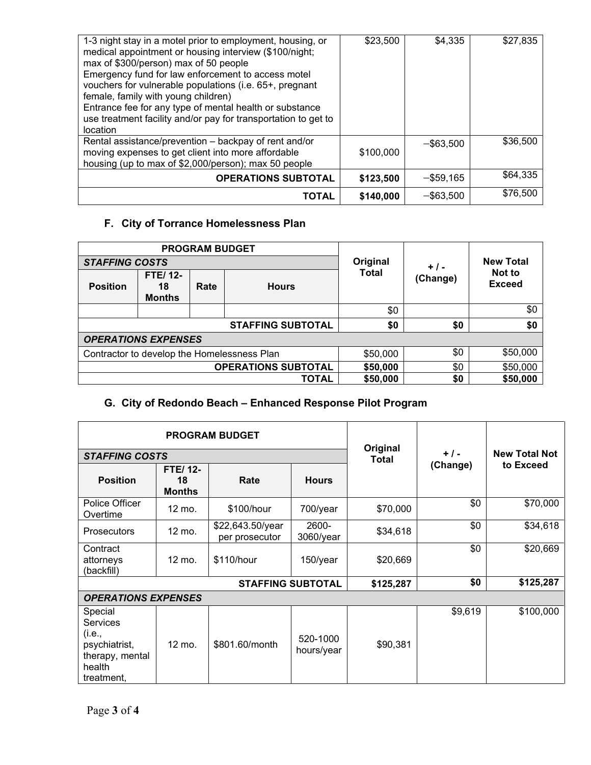| 1-3 night stay in a motel prior to employment, housing, or<br>medical appointment or housing interview (\$100/night;<br>max of \$300/person) max of 50 people<br>Emergency fund for law enforcement to access motel<br>vouchers for vulnerable populations (i.e. 65+, pregnant<br>female, family with young children)<br>Entrance fee for any type of mental health or substance<br>use treatment facility and/or pay for transportation to get to<br>location | \$23,500  | \$4,335      | \$27,835 |
|----------------------------------------------------------------------------------------------------------------------------------------------------------------------------------------------------------------------------------------------------------------------------------------------------------------------------------------------------------------------------------------------------------------------------------------------------------------|-----------|--------------|----------|
| Rental assistance/prevention – backpay of rent and/or<br>moving expenses to get client into more affordable<br>housing (up to max of \$2,000/person); max 50 people                                                                                                                                                                                                                                                                                            | \$100,000 | $-$ \$63.500 | \$36,500 |
| <b>OPERATIONS SUBTOTAL</b>                                                                                                                                                                                                                                                                                                                                                                                                                                     | \$123,500 | $-$ \$59,165 | \$64,335 |
| TOTAL                                                                                                                                                                                                                                                                                                                                                                                                                                                          | \$140,000 | $-$ \$63,500 | \$76,500 |

# **F. City of Torrance Homelessness Plan**

| <b>PROGRAM BUDGET</b>                       |                                       |      |                          |                          |          |                         |  |
|---------------------------------------------|---------------------------------------|------|--------------------------|--------------------------|----------|-------------------------|--|
| <b>STAFFING COSTS</b>                       |                                       |      |                          | Original<br><b>Total</b> | $+$ / -  | <b>New Total</b>        |  |
| <b>Position</b>                             | <b>FTE/12-</b><br>18<br><b>Months</b> | Rate | <b>Hours</b>             |                          | (Change) | Not to<br><b>Exceed</b> |  |
|                                             |                                       |      |                          | \$0                      |          | \$0                     |  |
|                                             |                                       |      | <b>STAFFING SUBTOTAL</b> | \$0                      | \$0      | \$0                     |  |
| <b>OPERATIONS EXPENSES</b>                  |                                       |      |                          |                          |          |                         |  |
| Contractor to develop the Homelessness Plan |                                       |      |                          | \$50,000                 | \$0      | \$50,000                |  |
| <b>OPERATIONS SUBTOTAL</b>                  |                                       |      | \$50,000                 | \$0                      | \$50,000 |                         |  |
|                                             |                                       |      | <b>TOTAL</b>             | \$50,000                 | \$0      | \$50,000                |  |

# **G. City of Redondo Beach – Enhanced Response Pilot Program**

|                                                                                                  |                                       | <b>PROGRAM BUDGET</b>              |                          |                          |          |                      |
|--------------------------------------------------------------------------------------------------|---------------------------------------|------------------------------------|--------------------------|--------------------------|----------|----------------------|
| <b>STAFFING COSTS</b>                                                                            |                                       |                                    |                          | Original<br><b>Total</b> | $+ 1 -$  | <b>New Total Not</b> |
| <b>Position</b>                                                                                  | <b>FTE/12-</b><br>18<br><b>Months</b> | Rate                               | <b>Hours</b>             |                          | (Change) | to Exceed            |
| Police Officer<br>Overtime                                                                       | 12 mo.                                | \$100/hour                         | 700/year                 | \$70,000                 | \$0      | \$70,000             |
| <b>Prosecutors</b>                                                                               | 12 mo.                                | \$22,643.50/year<br>per prosecutor | 2600-<br>3060/year       | \$34,618                 | \$0      | \$34,618             |
| Contract<br>attorneys<br>(backfill)                                                              | 12 mo.                                | \$110/hour                         | 150/year                 | \$20,669                 | \$0      | \$20,669             |
|                                                                                                  |                                       |                                    | <b>STAFFING SUBTOTAL</b> | \$125,287                | \$0      | \$125,287            |
| <b>OPERATIONS EXPENSES</b>                                                                       |                                       |                                    |                          |                          |          |                      |
| Special<br><b>Services</b><br>(i.e.,<br>psychiatrist,<br>therapy, mental<br>health<br>treatment, | 12 mo.                                | \$801.60/month                     | 520-1000<br>hours/year   | \$90,381                 | \$9,619  | \$100,000            |